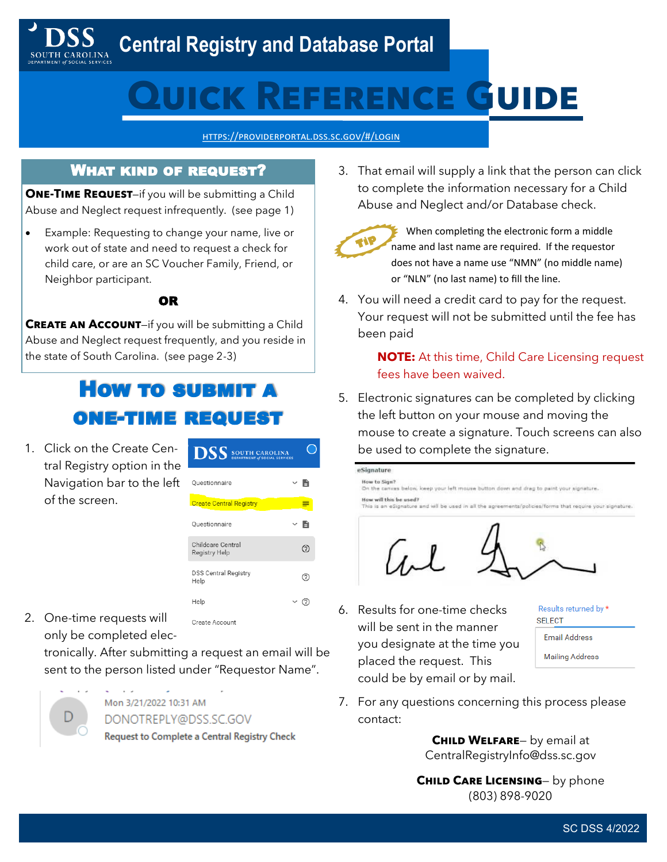### **Central Registry and Database Portal**

# **Quick Reference Guide**

<https://providerportal.dss.sc.gov/#/login>

### What kind of request?

**ONE-TIME REQUEST-if you will be submitting a Child** Abuse and Neglect request infrequently. (see page 1)

• Example: Requesting to change your name, live or work out of state and need to request a check for child care, or are an SC Voucher Family, Friend, or Neighbor participant.

#### OR

**CREATE AN ACCOUNT-if you will be submitting a Child** Abuse and Neglect request frequently, and you reside in the state of South Carolina. (see page 2-3)

## How to submit a one-time request

1. Click on the Create Central Registry option in the Navigation bar to the left of the screen.

| <b>DSS</b> SOUTH CAROLINA<br><b>DEPARTMENT of SOCIAL SERVICES</b> |     |
|-------------------------------------------------------------------|-----|
| Questionnaire                                                     | Y B |
| <b>Create Central Registry</b>                                    |     |
| Ouestionnaire                                                     | Y B |
| Childcare Central<br>Registry Help                                | 3   |
| <b>DSS Central Registry</b><br>Help                               | 7   |
| Help                                                              |     |

2. One-time requests will only be completed elec-

> tronically. After submitting a request an email will be sent to the person listed under "Requestor Name".

Create Account



Mon 3/21/2022 10:31 AM DONOTREPLY@DSS.SC.GOV Request to Complete a Central Registry Check 3. That email will supply a link that the person can click to complete the information necessary for a Child Abuse and Neglect and/or Database check.



 When completing the electronic form a middle name and last name are required. If the requestor does not have a name use "NMN" (no middle name) or "NLN" (no last name) to fill the line.

4. You will need a credit card to pay for the request. Your request will not be submitted until the fee has been paid

> **NOTE:** At this time, Child Care Licensing request fees have been waived.

5. Electronic signatures can be completed by clicking the left button on your mouse and moving the mouse to create a signature. Touch screens can also be used to complete the signature.



6. Results for one-time checks will be sent in the manner you designate at the time you placed the request. This could be by email or by mail.

Results returned by \* **SELECT Email Address Mailing Address** 

7. For any questions concerning this process please contact:

> **Child Welfare**— by email at CentralRegistryInfo@dss.sc.gov

**Child Care Licensing**— by phone (803) 898-9020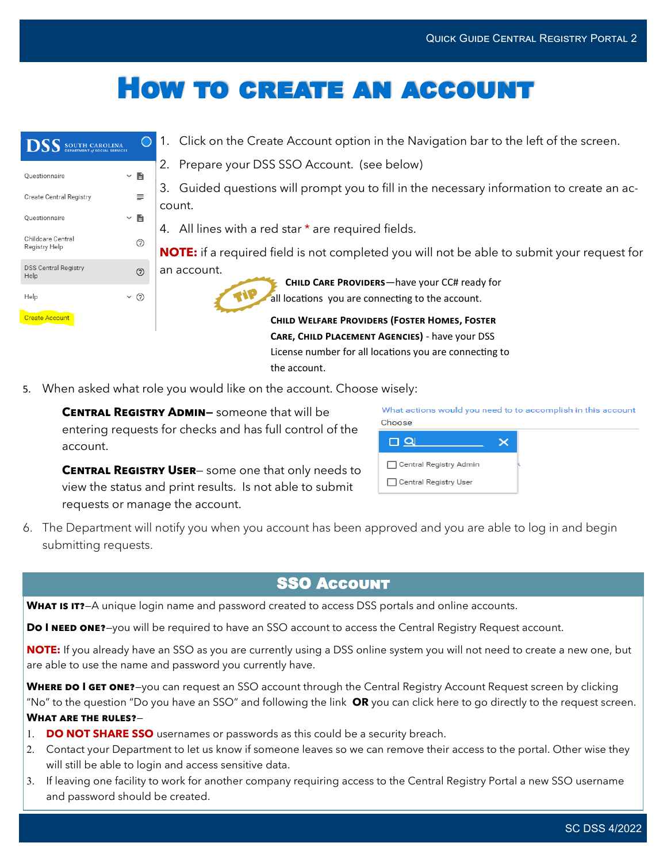# How to create an account

| <b>DSS</b> SOUTH CAROLINA           | $\left( \right)$ | 1. Click on the Create Account option in the Navigation bar to the left of the screen.                                    |
|-------------------------------------|------------------|---------------------------------------------------------------------------------------------------------------------------|
| Questionnaire                       | $\times$ B       | 2. Prepare your DSS SSO Account. (see below)                                                                              |
| <b>Create Central Registry</b>      | $\equiv$         | 3. Guided questions will prompt you to fill in the necessary information to create an ac-<br>count.                       |
| Questionnaire                       | $\times$ B       | 4. All lines with a red star $*$ are required fields.                                                                     |
| Childcare Central<br>Registry Help  | ℗                | <b>NOTE:</b> if a required field is not completed you will not be able to submit your request for                         |
| <b>DSS Central Registry</b><br>Help | $^{\circ}$       | an account.<br>CHILD CARE PROVIDERS-have your CC# ready for                                                               |
| Help                                | (2)              | all locations you are connecting to the account.                                                                          |
| <b>Create Account</b>               |                  | <b>CHILD WELFARE PROVIDERS (FOSTER HOMES, FOSTER</b>                                                                      |
|                                     |                  | CARE, CHILD PLACEMENT AGENCIES) - have your DSS<br>License number for all locations you are connecting to<br>the account. |

5. When asked what role you would like on the account. Choose wisely:

**CENTRAL REGISTRY ADMIN-** someone that will be entering requests for checks and has full control of the account.

**CENTRAL REGISTRY USER-** some one that only needs to view the status and print results. Is not able to submit requests or manage the account.

| What actions would you need to to accomplish in this account<br>Choose |  |
|------------------------------------------------------------------------|--|
| <b>□ Q</b>                                                             |  |
| □ Central Registry Admin                                               |  |
| □ Central Registry User                                                |  |

6. The Department will notify you when you account has been approved and you are able to log in and begin submitting requests.

### SSO Account

WHAT IS IT?—A unique login name and password created to access DSS portals and online accounts.

**DO I NEED ONE?**-you will be required to have an SSO account to access the Central Registry Request account.

**NOTE:** If you already have an SSO as you are currently using a DSS online system you will not need to create a new one, but are able to use the name and password you currently have.

**WHERE DO I GET ONE?**—you can request an SSO account through the Central Registry Account Request screen by clicking "No" to the question "Do you have an SSO" and following the link **OR** you can click here to go directly to the request screen. **What are the rules?**—

- **DO NOT SHARE SSO** usernames or passwords as this could be a security breach.
- Contact your Department to let us know if someone leaves so we can remove their access to the portal. Other wise they will still be able to login and access sensitive data.
- 3. If leaving one facility to work for another company requiring access to the Central Registry Portal a new SSO username and password should be created.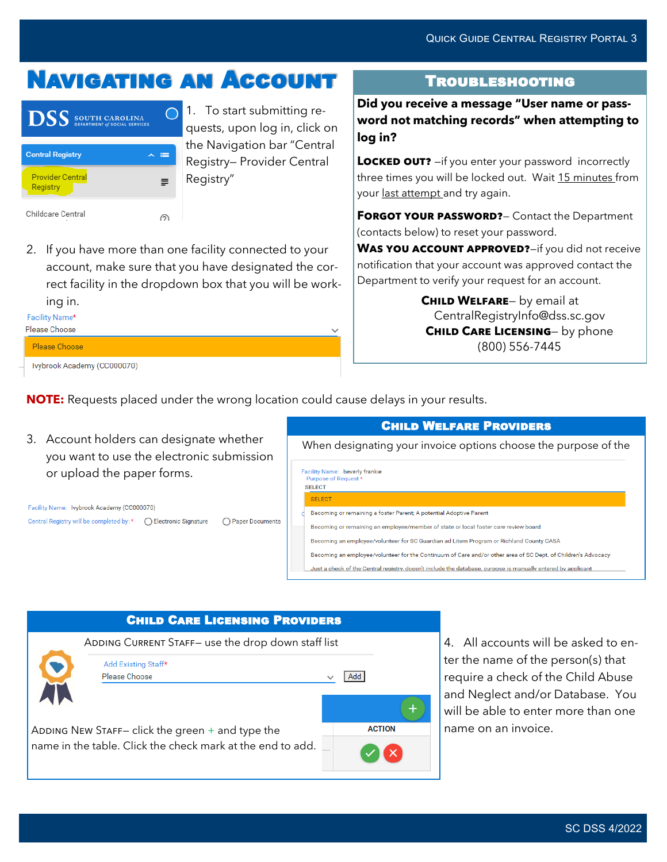# Navigating an Account

| <b>DSS</b> SOUTH CAROLINA           |   |
|-------------------------------------|---|
| <b>Central Registry</b>             |   |
| <b>Provider Central</b><br>Registry | ≡ |
| Childcare Central                   |   |

1. To start submitting requests, upon log in, click on the Navigation bar "Central Registry— Provider Central Registry"

2. If you have more than one facility connected to your account, make sure that you have designated the correct facility in the dropdown box that you will be working in.

Facility Name\* Please Choose

Please Choose

Ivybrook Academy (CC000070)

### Troubleshooting

**Did you receive a message "User name or password not matching records" when attempting to log in?** 

**LOCKED OUT?** -if you enter your password incorrectly three times you will be locked out. Wait 15 minutes from your last attempt and try again.

**FORGOT YOUR PASSWORD?** - Contact the Department (contacts below) to reset your password.

WAS YOU ACCOUNT APPROVED?-if you did not receive notification that your account was approved contact the Department to verify your request for an account.

> **Child Welfare**— by email at CentralRegistryInfo@dss.sc.gov **CHILD CARE LICENSING-** by phone (800) 556-7445

**NOTE:** Requests placed under the wrong location could cause delays in your results.

3. Account holders can designate whether you want to use the electronic submission or upload the paper forms.

Facility Name: Ivybrook Academy (CC000070) Central Registry will be completed by: \* | | C Electronic Signature ◯ Paper Documents

| <b>CHILD WELFARE PROVIDERS</b>                                                                                |  |  |  |  |  |  |
|---------------------------------------------------------------------------------------------------------------|--|--|--|--|--|--|
| When designating your invoice options choose the purpose of the                                               |  |  |  |  |  |  |
| Facility Name: beverly frankie<br>Purpose of Request *<br><b>SFI FCT</b>                                      |  |  |  |  |  |  |
| <b>SELECT</b>                                                                                                 |  |  |  |  |  |  |
| Becoming or remaining a foster Parent; A potential Adoptive Parent                                            |  |  |  |  |  |  |
| Becoming or remaining an employee/member of state or local foster care review board                           |  |  |  |  |  |  |
| Becoming an employee/volunteer for SC Guardian ad Litem Program or Richland County CASA                       |  |  |  |  |  |  |
| Becoming an employee/volunteer for the Continuum of Care and/or other area of SC Dept. of Children's Advocacy |  |  |  |  |  |  |
| Just a check of the Central registry, doesn't include the database, purpose is manually entered by applicant  |  |  |  |  |  |  |



4. All accounts will be asked to enter the name of the person(s) that require a check of the Child Abuse and Neglect and/or Database. You will be able to enter more than one name on an invoice.